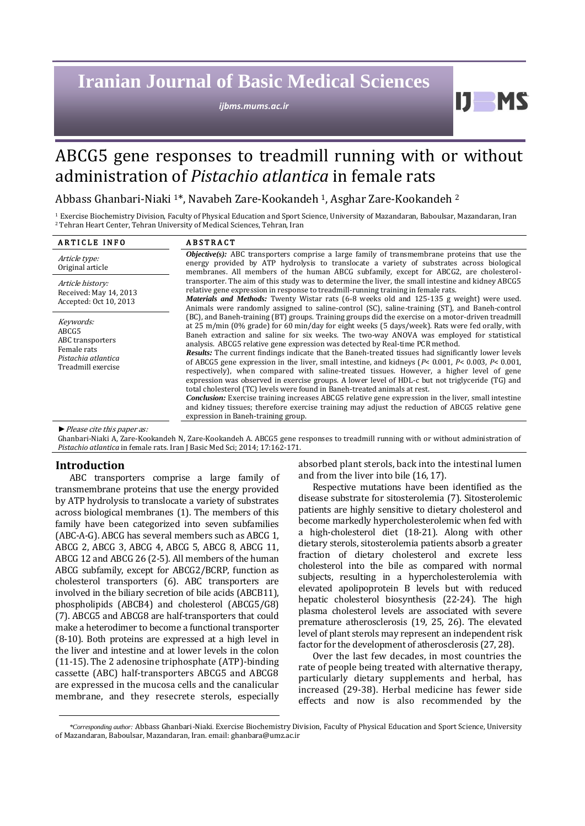# **Iranian Journal of Basic Medical Sciences**

*ijbms.mums.ac.ir*

# ABCG5 gene responses to treadmill running with or without administration of *Pistachio atlantica* in female rats

Abbass Ghanbari-Niaki 1\*, Navabeh Zare-Kookandeh 1, Asghar Zare-Kookandeh <sup>2</sup>

<sup>1</sup> Exercise Biochemistry Division, Faculty of Physical Education and Sport Science, University of Mazandaran, Baboulsar, Mazandaran, Iran <sup>2</sup>Tehran Heart Center, Tehran University of Medical Sciences, Tehran, Iran

| <b><i>Objective(s)</i></b> : ABC transporters comprise a large family of transmembrane proteins that use the<br>energy provided by ATP hydrolysis to translocate a variety of substrates across biological<br>membranes. All members of the human ABCG subfamily, except for ABCG2, are cholesterol-<br>transporter. The aim of this study was to determine the liver, the small intestine and kidney ABCG5<br>relative gene expression in response to treadmill-running training in female rats.<br><i>Materials and Methods:</i> Twenty Wistar rats (6-8 weeks old and 125-135 g weight) were used.                                                                                                                                                                                                                                                                                                                                                                                                                                                                                                                                                          |
|----------------------------------------------------------------------------------------------------------------------------------------------------------------------------------------------------------------------------------------------------------------------------------------------------------------------------------------------------------------------------------------------------------------------------------------------------------------------------------------------------------------------------------------------------------------------------------------------------------------------------------------------------------------------------------------------------------------------------------------------------------------------------------------------------------------------------------------------------------------------------------------------------------------------------------------------------------------------------------------------------------------------------------------------------------------------------------------------------------------------------------------------------------------|
|                                                                                                                                                                                                                                                                                                                                                                                                                                                                                                                                                                                                                                                                                                                                                                                                                                                                                                                                                                                                                                                                                                                                                                |
| Animals were randomly assigned to saline-control (SC), saline-training (ST), and Baneh-control                                                                                                                                                                                                                                                                                                                                                                                                                                                                                                                                                                                                                                                                                                                                                                                                                                                                                                                                                                                                                                                                 |
| (BC), and Baneh-training (BT) groups. Training groups did the exercise on a motor-driven treadmill<br>at 25 m/min (0% grade) for 60 min/day for eight weeks (5 days/week). Rats were fed orally, with<br>Baneh extraction and saline for six weeks. The two-way ANOVA was employed for statistical<br>analysis. ABCG5 relative gene expression was detected by Real-time PCR method.<br><b>Results:</b> The current findings indicate that the Baneh-treated tissues had significantly lower levels<br>of ABCG5 gene expression in the liver, small intestine, and kidneys ( $P < 0.001$ , $P < 0.003$ , $P < 0.001$ ,<br>respectively), when compared with saline-treated tissues. However, a higher level of gene<br>expression was observed in exercise groups. A lower level of HDL-c but not triglyceride (TG) and<br>total cholesterol (TC) levels were found in Baneh-treated animals at rest.<br><i>Conclusion:</i> Exercise training increases ABCG5 relative gene expression in the liver, small intestine<br>and kidney tissues; therefore exercise training may adjust the reduction of ABCG5 relative gene<br>expression in Baneh-training group. |
|                                                                                                                                                                                                                                                                                                                                                                                                                                                                                                                                                                                                                                                                                                                                                                                                                                                                                                                                                                                                                                                                                                                                                                |

*►*Please cite this paper as:

Ghanbari-Niaki A, Zare-Kookandeh N, Zare-Kookandeh A. ABCG5 gene responses to treadmill running with or without administration of *Pistachio atlantica* in female rats. Iran J Basic Med Sci; 2014; 17:162-171.

#### **Introduction**

ABC transporters comprise a large family of transmembrane proteins that use the energy provided by ATP hydrolysis to translocate a variety of substrates across biological membranes (1). The members of this family have been categorized into seven subfamilies (ABC-A-G). ABCG has several members such as ABCG 1, ABCG 2, ABCG 3, ABCG 4, ABCG 5, ABCG 8, ABCG 11, ABCG 12 and ABCG 26 (2-5). All members of the human ABCG subfamily, except for ABCG2/BCRP, function as cholesterol transporters (6). ABC transporters are involved in the biliary secretion of bile acids (ABCB11), phospholipids (ABCB4) and cholesterol (ABCG5/G8) (7). ABCG5 and ABCG8 are half-transporters that could make a heterodimer to become a functional transporter (8-10). Both proteins are expressed at a high level in the liver and intestine and at lower levels in the colon (11-15). The 2 adenosine triphosphate (ATP)-binding cassette (ABC) half-transporters ABCG5 and ABCG8 are expressed in the mucosa cells and the canalicular membrane, and they resecrete sterols, especially absorbed plant sterols, back into the intestinal lumen and from the liver into bile (16, 17).

Ш

Respective mutations have been identified as the disease substrate for sitosterolemia (7). Sitosterolemic patients are highly sensitive to dietary cholesterol and become markedly hypercholesterolemic when fed with a high-cholesterol diet (18-21). Along with other dietary sterols, sitosterolemia patients absorb a greater fraction of dietary cholesterol and excrete less cholesterol into the bile as compared with normal subjects, resulting in a hypercholesterolemia with elevated apolipoprotein B levels but with reduced hepatic cholesterol biosynthesis (22-24). The high plasma cholesterol levels are associated with severe premature atherosclerosis (19, 25, 26). The elevated level of plant sterols may represent an independent risk factor for the development of atherosclerosis (27, 28).

Over the last few decades, in most countries the rate of people being treated with alternative therapy, particularly dietary supplements and herbal, has increased (29-38). Herbal medicine has fewer side effects and now is also recommended by the

*<sup>\*</sup>Corresponding author:* Abbass Ghanbari-Niaki. Exercise Biochemistry Division, Faculty of Physical Education and Sport Science, University of Mazandaran, Baboulsar, Mazandaran, Iran. email: ghanbara@umz.ac.ir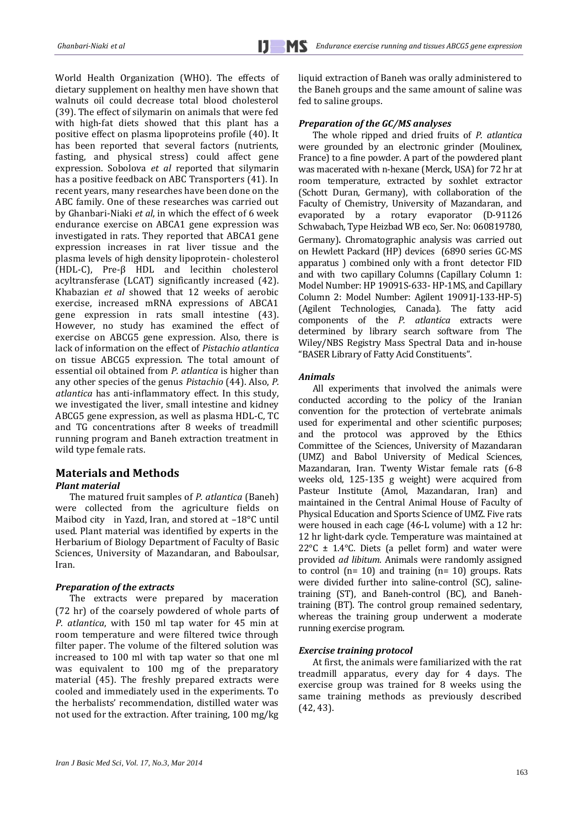World Health Organization (WHO). The effects of dietary supplement on healthy men have shown that walnuts oil could decrease total blood cholesterol (39). The effect of silymarin on animals that were fed with high-fat diets showed that this plant has a positive effect on plasma lipoproteins profile (40). It has been reported that several factors (nutrients, fasting, and physical stress) could affect gene expression. Sobolova *et al* reported that silymarin has a positive feedback on ABC Transporters (41). In recent years, many researches have been done on the ABC family. One of these researches was carried out by Ghanbari-Niaki *et al*, in which the effect of 6 week endurance exercise on ABCA1 gene expression was investigated in rats. They reported that ABCA1 gene expression increases in rat liver tissue and the plasma levels of high density lipoprotein- cholesterol (HDL-C), Pre-β HDL and lecithin cholesterol acyltransferase (LCAT) significantly increased (42). Khabazian *et al* showed that 12 weeks of aerobic exercise, increased mRNA expressions of ABCA1 gene expression in rats small intestine (43). However, no study has examined the effect of exercise on ABCG5 gene expression. Also, there is lack of information on the effect of *Pistachio atlantica* on tissue ABCG5 expression. The total amount of essential oil obtained from *P. atlantica* is higher than any other species of the genus *Pistachio* (44). Also, *P. atlantica* has anti-inflammatory effect. In this study, we investigated the liver, small intestine and kidney ABCG5 gene expression, as well as plasma HDL-C, TC and TG concentrations after 8 weeks of treadmill running program and Baneh extraction treatment in wild type female rats.

# **Materials and Methods** *Plant material*

The matured fruit samples of *P. atlantica* (Baneh) were collected from the agriculture fields on Maibod city in Yazd, Iran, and stored at –18°C until used. Plant material was identified by experts in the Herbarium of Biology Department of Faculty of Basic Sciences, University of Mazandaran, and Baboulsar, Iran.

## *Preparation of the extracts*

The extracts were prepared by maceration (72 hr) of the coarsely powdered of whole parts of *P. atlantica*, with 150 ml tap water for 45 min at room temperature and were filtered twice through filter paper. The volume of the filtered solution was increased to 100 ml with tap water so that one ml was equivalent to 100 mg of the preparatory material (45). The freshly prepared extracts were cooled and immediately used in the experiments. To the herbalists' recommendation, distilled water was not used for the extraction. After training, 100 mg/kg liquid extraction of Baneh was orally administered to the Baneh groups and the same amount of saline was fed to saline groups.

#### *Preparation of the GC/MS analyses*

The whole ripped and dried fruits of *P. atlantica* were grounded by an electronic grinder (Moulinex, France) to a fine powder. A part of the powdered plant was macerated with n-hexane (Merck, USA) for 72 hr at room temperature, extracted by soxhlet extractor (Schott Duran, Germany), with collaboration of the Faculty of Chemistry, University of Mazandaran, and evaporated by a rotary evaporator (D-91126 Schwabach, Type Heizbad WB eco, Ser. No: 060819780, Germany). Chromatographic analysis was carried out on Hewlett Packard (HP) devices (6890 series GC-MS apparatus ) combined only with a front detector FID and with two capillary Columns (Capillary Column 1: Model Number: HP 19091S-633- HP-1MS, and Capillary Column 2: Model Number: Agilent 19091J-133-HP-5) (Agilent Technologies, Canada). The fatty acid components of the *P. atlantica* extracts were determined by library search software from The Wiley/NBS Registry Mass Spectral Data and in-house "BASER Library of Fatty Acid Constituents".

#### *Animals*

All experiments that involved the animals were conducted according to the policy of the Iranian convention for the protection of vertebrate animals used for experimental and other scientific purposes; and the protocol was approved by the Ethics Committee of the Sciences, University of Mazandaran (UMZ) and Babol University of Medical Sciences, Mazandaran, Iran. Twenty Wistar female rats (6-8 weeks old, 125-135 g weight) were acquired from Pasteur Institute (Amol, Mazandaran, Iran) and maintained in the Central Animal House of Faculty of Physical Education and Sports Science of UMZ. Five rats were housed in each cage (46-L volume) with a 12 hr: 12 hr light-dark cycle. Temperature was maintained at 22 $\textdegree$ C  $\pm$  1.4 $\textdegree$ C. Diets (a pellet form) and water were provided *ad libitum*. Animals were randomly assigned to control ( $n= 10$ ) and training ( $n= 10$ ) groups. Rats were divided further into saline-control (SC), salinetraining (ST), and Baneh-control (BC), and Banehtraining (BT). The control group remained sedentary, whereas the training group underwent a moderate running exercise program.

#### *Exercise training protocol*

At first, the animals were familiarized with the rat treadmill apparatus, every day for 4 days. The exercise group was trained for 8 weeks using the same training methods as previously described (42, 43).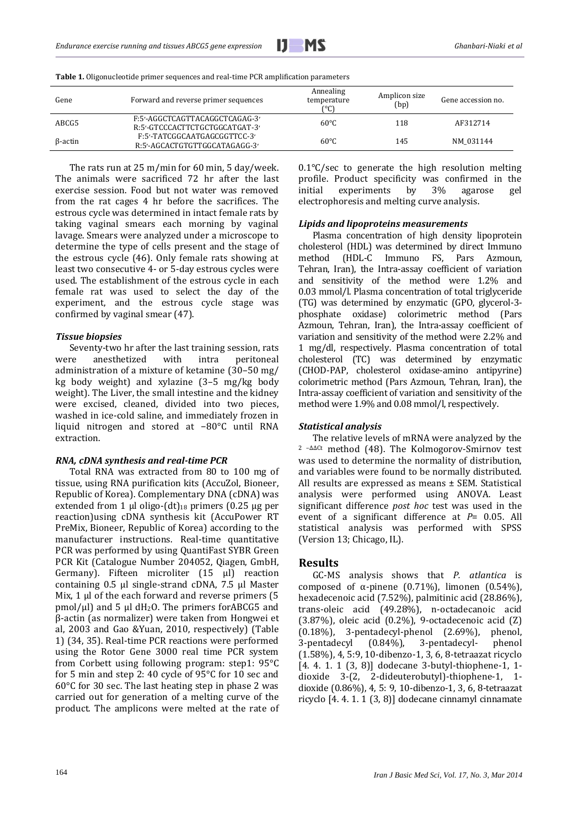| Gene           | Forward and reverse primer sequences                             | Annealing<br>temperature<br>r°Cì | Amplicon size<br>(bp) | Gene accession no. |
|----------------|------------------------------------------------------------------|----------------------------------|-----------------------|--------------------|
| ABCG5          | F:5'-AGGCTCAGTTACAGGCTCAGAG-3'<br>R:5'-GTCCCACTTCTGCTGGCATGAT-3' | $60^{\circ}$ C                   | 118                   | AF312714           |
| $\beta$ -actin | F:5'-TATCGGCAATGAGCGGTTCC-3'<br>R:5'-AGCACTGTGTTGGCATAGAGG-3'    | $60^{\circ}$ C                   | 145                   | NM 031144          |

**Table 1.** Oligonucleotide primer sequences and real-time PCR amplification parameters

The rats run at 25 m/min for 60 min, 5 day/week. The animals were sacrificed 72 hr after the last exercise session. Food but not water was removed from the rat cages 4 hr before the sacrifices. The estrous cycle was determined in intact female rats by taking vaginal smears each morning by vaginal lavage. Smears were analyzed under a microscope to determine the type of cells present and the stage of the estrous cycle (46). Only female rats showing at least two consecutive 4- or 5-day estrous cycles were used. The establishment of the estrous cycle in each female rat was used to select the day of the experiment, and the estrous cycle stage was confirmed by vaginal smear (47).

#### *Tissue biopsies*

Seventy-two hr after the last training session, rats were anesthetized with intra peritoneal administration of a mixture of ketamine (30–50 mg/ kg body weight) and xylazine (3–5 mg/kg body weight). The Liver, the small intestine and the kidney were excised, cleaned, divided into two pieces, washed in ice-cold saline, and immediately frozen in liquid nitrogen and stored at −80°C until RNA extraction.

#### *RNA, cDNA synthesis and real-time PCR*

Total RNA was extracted from 80 to 100 mg of tissue, using RNA purification kits (AccuZol, Bioneer, Republic of Korea). Complementary DNA (cDNA) was extended from 1 μl oligo-(dt)<sub>18</sub> primers (0.25 μg per reaction)using cDNA synthesis kit (AccuPower RT PreMix, Bioneer, Republic of Korea) according to the manufacturer instructions. Real-time quantitative PCR was performed by using QuantiFast SYBR Green PCR Kit (Catalogue Number 204052, Qiagen, GmbH, Germany). Fifteen microliter (15 μl) reaction containing 0.5 μl single-strand cDNA, 7.5 μl Master Mix, 1 μl of the each forward and reverse primers (5 pmol/ $\mu$ l) and 5  $\mu$ l dH<sub>2</sub>O. The primers forABCG5 and β-actin (as normalizer) were taken from Hongwei et al, 2003 and Gao &Yuan, 2010, respectively) (Table 1) (34, 35). Real-time PCR reactions were performed using the Rotor Gene 3000 real time PCR system from Corbett using following program: step1: 95°C for 5 min and step 2: 40 cycle of 95°C for 10 sec and 60°C for 30 sec. The last heating step in phase 2 was carried out for generation of a melting curve of the product. The amplicons were melted at the rate of  $0.1\degree$ C/sec to generate the high resolution melting profile. Product specificity was confirmed in the initial experiments by  $3\%$  agarose gel initial experiments by 3% agarose gel electrophoresis and melting curve analysis.

#### *Lipids and lipoproteins measurements*

Plasma concentration of high density lipoprotein cholesterol (HDL) was determined by direct Immuno method (HDL-C Immuno FS, Pars Azmoun, Tehran, Iran), the Intra-assay coefficient of variation and sensitivity of the method were 1.2% and 0.03 mmol/l. Plasma concentration of total triglyceride (TG) was determined by enzymatic (GPO, glycerol-3 phosphate oxidase) colorimetric method (Pars Azmoun, Tehran, Iran), the Intra-assay coefficient of variation and sensitivity of the method were 2.2% and 1 mg/dl, respectively. Plasma concentration of total cholesterol (TC) was determined by enzymatic (CHOD-PAP, cholesterol oxidase-amino antipyrine) colorimetric method (Pars Azmoun, Tehran, Iran), the Intra-assay coefficient of variation and sensitivity of the method were 1.9% and 0.08 mmol/l, respectively.

#### *Statistical analysis*

The relative levels of mRNA were analyzed by the <sup>2</sup>–ΔΔCt method (48). The Kolmogorov-Smirnov test was used to determine the normality of distribution, and variables were found to be normally distributed. All results are expressed as means ± SEM. Statistical analysis were performed using ANOVA. Least significant difference *post hoc* test was used in the event of a significant difference at *P*= 0.05. All statistical analysis was performed with SPSS (Version 13; Chicago, IL).

# **Results**

GC-MS analysis shows that *P. atlantica* is composed of α-pinene (0.71%), limonen (0.54%), hexadecenoic acid (7.52%), palmitinic acid (28.86%), trans-oleic acid (49.28%), n-octadecanoic acid (3.87%), oleic acid (0.2%), 9-octadecenoic acid (Z) (0.18%), 3-pentadecyl-phenol (2.69%), phenol, 3-pentadecyl (0.84%), 3-pentadecyl- phenol (1.58%), 4, 5:9, 10-dibenzo-1, 3, 6, 8-tetraazat ricyclo [4. 4. 1. 1 (3, 8)] dodecane 3-butyl-thiophene-1, 1 dioxide 3-(2, 2-dideuterobutyl)-thiophene-1, 1 dioxide (0.86%), 4, 5: 9, 10-dibenzo-1, 3, 6, 8-tetraazat ricyclo [4. 4. 1. 1 (3, 8)] dodecane cinnamyl cinnamate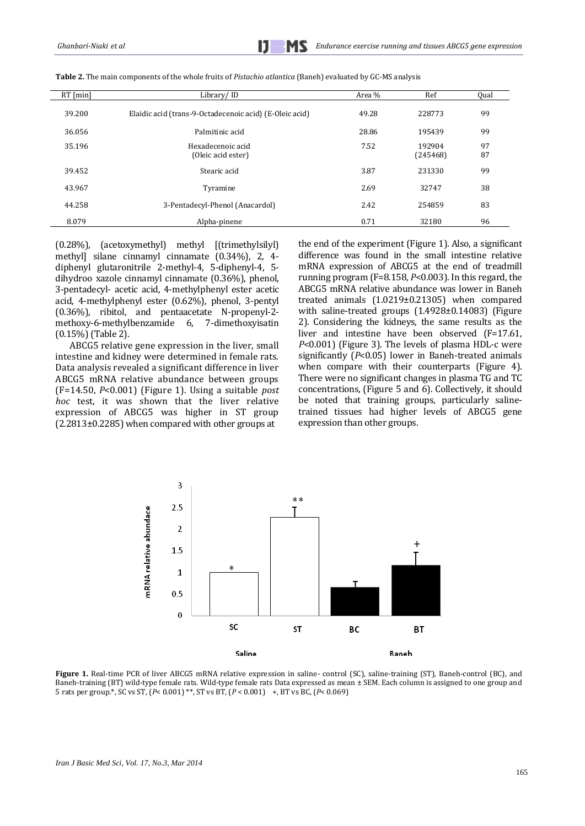| $RT$ [min] | Library/ID                                              | Area % | Ref                | Qual     |
|------------|---------------------------------------------------------|--------|--------------------|----------|
| 39.200     | Elaidic acid (trans-9-Octadecenoic acid) (E-Oleic acid) | 49.28  | 228773             | 99       |
| 36.056     | Palmitinic acid                                         | 28.86  | 195439             | 99       |
| 35.196     | Hexadecenoic acid<br>(Oleic acid ester)                 | 7.52   | 192904<br>(245468) | 97<br>87 |
| 39.452     | Stearic acid                                            | 3.87   | 231330             | 99       |
| 43.967     | Tyramine                                                | 2.69   | 32747              | 38       |
| 44.258     | 3-Pentadecyl-Phenol (Anacardol)                         | 2.42   | 254859             | 83       |
| 8.079      | Alpha-pinene                                            | 0.71   | 32180              | 96       |

**Table 2.** The main components of the whole fruits of *Pistachio atlantica* (Baneh) evaluated by GC-MS analysis

(0.28%), (acetoxymethyl) methyl [(trimethylsilyl) methyl] silane cinnamyl cinnamate (0.34%), 2, 4 diphenyl glutaronitrile 2-methyl-4, 5-diphenyl-4, 5 dihydroo xazole cinnamyl cinnamate (0.36%), phenol, 3-pentadecyl- acetic acid, 4-methylphenyl ester acetic acid, 4-methylphenyl ester (0.62%), phenol, 3-pentyl (0.36%), ribitol, and pentaacetate N-propenyl-2 methoxy-6-methylbenzamide 6, 7-dimethoxyisatin (0.15%) (Table 2).

ABCG5 relative gene expression in the liver, small intestine and kidney were determined in female rats. Data analysis revealed a significant difference in liver ABCG5 mRNA relative abundance between groups (F=14.50, *P*<0.001) (Figure 1). Using a suitable *post hoc* test, it was shown that the liver relative expression of ABCG5 was higher in ST group (2.2813±0.2285) when compared with other groups at

the end of the experiment (Figure 1). Also, a significant difference was found in the small intestine relative mRNA expression of ABCG5 at the end of treadmill running program (F=8.158, *P*<0.003). In this regard, the ABCG5 mRNA relative abundance was lower in Baneh treated animals (1.0219±0.21305) when compared with saline-treated groups (1.4928±0.14083) (Figure 2). Considering the kidneys, the same results as the liver and intestine have been observed (F=17.61, *P*<0.001) (Figure 3). The levels of plasma HDL-c were significantly (*P*<0.05) lower in Baneh-treated animals when compare with their counterparts (Figure 4). There were no significant changes in plasma TG and TC concentrations, (Figure 5 and 6). Collectively, it should be noted that training groups, particularly salinetrained tissues had higher levels of ABCG5 gene expression than other groups.



**Figure 1.** Real-time PCR of liver ABCG5 mRNA relative expression in saline- control (SC), saline-training (ST), Baneh-control (BC), and Baneh-training (BT) wild-type female rats. Wild-type female rats Data expressed as mean ± SEM. Each column is assigned to one group and 5 rats per group.\*, SC vs ST, (*P*< 0.001) \*\*, ST vs BT, (*P* < 0.001) +, BT vs BC, (*P*< 0.069)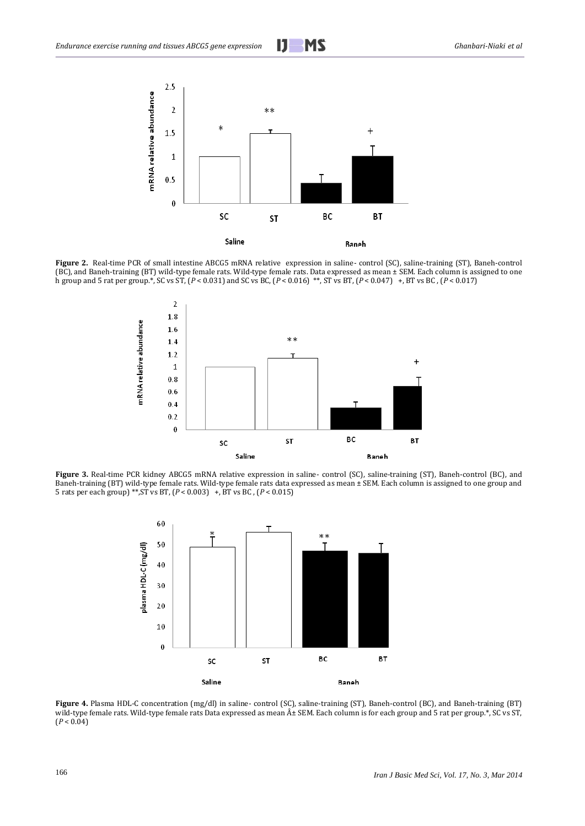

**Figure 2.** Real-time PCR of small intestine ABCG5 mRNA relative expression in saline- control (SC), saline-training (ST), Baneh-control (BC), and Baneh-training (BT) wild-type female rats. Wild-type female rats. Data expressed as mean ± SEM. Each column is assigned to one h group and 5 rat per group.\*, SC vs ST, (*P* < 0.031) and SC vs BC, (*P* < 0.016) \*\*, ST vs BT, (*P* < 0.047) +, BT vs BC , (*P* < 0.017)



**Figure 3.** Real-time PCR kidney ABCG5 mRNA relative expression in saline- control (SC), saline-training (ST), Baneh-control (BC), and Baneh-training (BT) wild-type female rats. Wild-type female rats data expressed as mean ± SEM. Each column is assigned to one group and 5 rats per each group) \*\*,ST vs BT, (*P* < 0.003) +, BT vs BC , (*P* < 0.015)



**Figure 4.** Plasma HDL-C concentration (mg/dl) in saline- control (SC), saline-training (ST), Baneh-control (BC), and Baneh-training (BT) wild-type female rats. Wild-type female rats Data expressed as mean  $\hat{A}$ ± SEM. Each column is for each group and 5 rat per group.\*, SC vs ST,  $(P < 0.04)$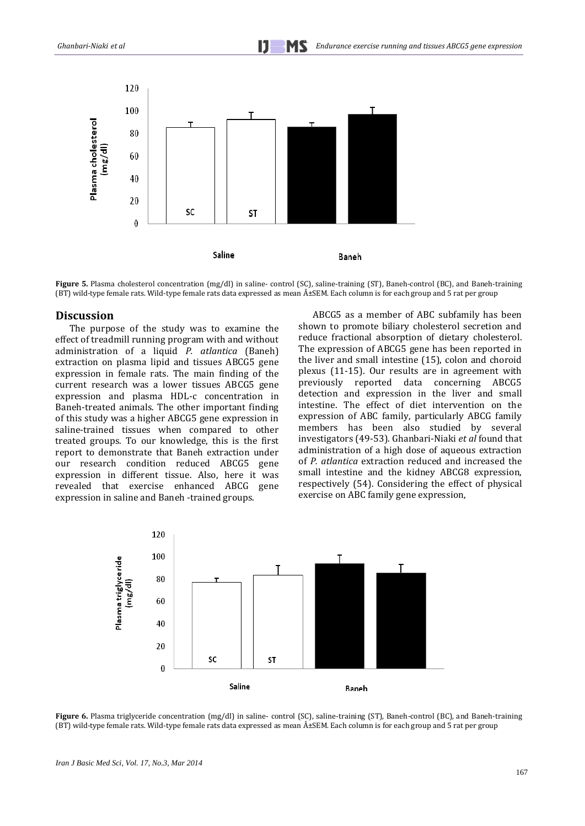

**Figure 5.** Plasma cholesterol concentration (mg/dl) in saline- control (SC), saline-training (ST), Baneh-control (BC), and Baneh-training (BT) wild-type female rats. Wild-type female rats data expressed as mean  $A \pm SEM$ . Each column is for each group and 5 rat per group

# **Discussion**

The purpose of the study was to examine the effect of treadmill running program with and without administration of a liquid *P. atlantica* (Baneh) extraction on plasma lipid and tissues ABCG5 gene expression in female rats. The main finding of the current research was a lower tissues ABCG5 gene expression and plasma HDL-c concentration in Baneh-treated animals. The other important finding of this study was a higher ABCG5 gene expression in saline-trained tissues when compared to other treated groups. To our knowledge, this is the first report to demonstrate that Baneh extraction under our research condition reduced ABCG5 gene expression in different tissue. Also, here it was revealed that exercise enhanced ABCG gene expression in saline and Baneh -trained groups.

ABCG5 as a member of ABC subfamily has been shown to promote biliary cholesterol secretion and reduce fractional absorption of dietary cholesterol. The expression of ABCG5 gene has been reported in the liver and small intestine (15), colon and choroid plexus (11-15). Our results are in agreement with previously reported data concerning ABCG5 detection and expression in the liver and small intestine. The effect of diet intervention on the expression of ABC family, particularly ABCG family members has been also studied by several investigators (49-53). Ghanbari-Niaki *et al* found that administration of a high dose of aqueous extraction of *P. atlantica* extraction reduced and increased the small intestine and the kidney ABCG8 expression, respectively (54). Considering the effect of physical exercise on ABC family gene expression,



**Figure 6.** Plasma triglyceride concentration (mg/dl) in saline- control (SC), saline-training (ST), Baneh-control (BC), and Baneh-training (BT) wild-type female rats. Wild-type female rats data expressed as mean  $\hat{A}$ ±SEM. Each column is for each group and 5 rat per group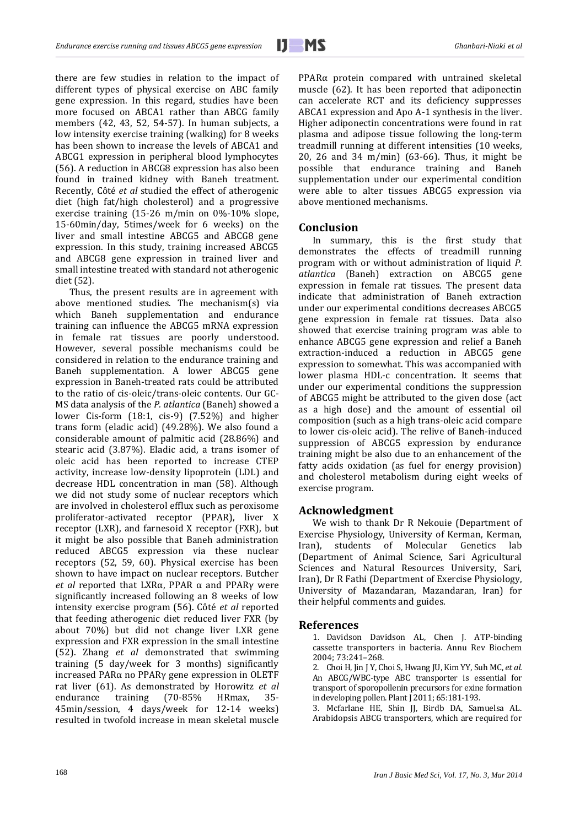there are few studies in relation to the impact of different types of physical exercise on ABC family gene expression. In this regard, studies have been more focused on ABCA1 rather than ABCG family members (42, 43, 52, 54-57). In human subjects, a low intensity exercise training (walking) for 8 weeks has been shown to increase the levels of ABCA1 and ABCG1 expression in peripheral blood lymphocytes (56). A reduction in ABCG8 expression has also been found in trained kidney with Baneh treatment. Recently, Côté *et al* studied the effect of atherogenic diet (high fat/high cholesterol) and a progressive exercise training (15-26 m/min on 0%-10% slope, 15-60min/day, 5times/week for 6 weeks) on the liver and small intestine ABCG5 and ABCG8 gene expression. In this study, training increased ABCG5 and ABCG8 gene expression in trained liver and small intestine treated with standard not atherogenic diet (52).

Thus, the present results are in agreement with above mentioned studies. The mechanism(s) via which Baneh supplementation and endurance training can influence the ABCG5 mRNA expression in female rat tissues are poorly understood. However, several possible mechanisms could be considered in relation to the endurance training and Baneh supplementation. A lower ABCG5 gene expression in Baneh-treated rats could be attributed to the ratio of cis-oleic/trans-oleic contents. Our GC-MS data analysis of the *P. atlantica* (Baneh) showed a lower Cis-form (18:1, cis-9) (7.52%) and higher trans form (eladic acid) (49.28%). We also found a considerable amount of palmitic acid (28.86%) and stearic acid (3.87%). Eladic acid, a trans isomer of oleic acid has been reported to increase CTEP activity, increase low-density lipoprotein (LDL) and decrease HDL concentration in man (58). Although we did not study some of nuclear receptors which are involved in cholesterol efflux such as peroxisome proliferator-activated receptor (PPAR), liver X receptor (LXR), and farnesoid X receptor (FXR), but it might be also possible that Baneh administration reduced ABCG5 expression via these nuclear receptors (52, 59, 60). Physical exercise has been shown to have impact on nuclear receptors. Butcher *et al* reported that LXRα, PPAR α and PPARγ were significantly increased following an 8 weeks of low intensity exercise program (56). Côté *et al* reported that feeding atherogenic diet reduced liver FXR (by about 70%) but did not change liver LXR gene expression and FXR expression in the small intestine (52). Zhang *et al* demonstrated that swimming training (5 day/week for 3 months) significantly increased PARα no PPARγ gene expression in OLETF rat liver (61). As demonstrated by Horowitz *et al* endurance training (70-85% HRmax, 35- 45min/session, 4 days/week for 12-14 weeks) resulted in twofold increase in mean skeletal muscle

PPARα protein compared with untrained skeletal muscle (62). It has been reported that adiponectin can accelerate RCT and its deficiency suppresses ABCA1 expression and Apo A-1 synthesis in the liver. Higher adiponectin concentrations were found in rat plasma and adipose tissue following the long-term treadmill running at different intensities (10 weeks, 20, 26 and 34 m/min) (63-66). Thus, it might be possible that endurance training and Baneh supplementation under our experimental condition were able to alter tissues ABCG5 expression via above mentioned mechanisms.

# **Conclusion**

In summary, this is the first study that demonstrates the effects of treadmill running program with or without administration of liquid *P. atlantica* (Baneh) extraction on ABCG5 gene expression in female rat tissues. The present data indicate that administration of Baneh extraction under our experimental conditions decreases ABCG5 gene expression in female rat tissues. Data also showed that exercise training program was able to enhance ABCG5 gene expression and relief a Baneh extraction-induced a reduction in ABCG5 gene expression to somewhat. This was accompanied with lower plasma HDL-c concentration. It seems that under our experimental conditions the suppression of ABCG5 might be attributed to the given dose (act as a high dose) and the amount of essential oil composition (such as a high trans-oleic acid compare to lower cis-oleic acid). The relive of Baneh-induced suppression of ABCG5 expression by endurance training might be also due to an enhancement of the fatty acids oxidation (as fuel for energy provision) and cholesterol metabolism during eight weeks of exercise program.

# **Acknowledgment**

We wish to thank Dr R Nekouie (Department of Exercise Physiology, University of Kerman, Kerman, Iran), students of Molecular Genetics lab (Department of Animal Science, Sari Agricultural Sciences and Natural Resources University, Sari, Iran), Dr R Fathi (Department of Exercise Physiology, University of Mazandaran, Mazandaran, Iran) for their helpful comments and guides.

#### **References**

1. Davidson Davidson AL, Chen J. ATP-binding cassette transporters in bacteria. [Annu Rev Biochem](http://www.ncbi.nlm.nih.gov/pubmed?term=1.%09Davidson%20A%20L%2C%20Chen%20J.%20ATP-binding%20cassette%20transporters%20in%20bacteria.%20Annual%20Review%20of%20Biochemistry%202004%3B%2073%3A241%E2%80%93268.) 2004; 73:241–268.

2. Choi H, Jin J Y, Choi S, Hwang JU, Kim YY[, Suh MC,](http://www.ncbi.nlm.nih.gov/pubmed?term=%22Suh%20MC%22%5BAuthor%5D) *et al.* An ABCG/WBC-type ABC transporter is essential for transport of sporopollenin precursors for exine formation in developing pollen. Plant J 2011; 65:181-193.

3. Mcfarlane HE, Shin JJ, Birdb DA, Samuelsa AL. Arabidopsis ABCG transporters, which are required for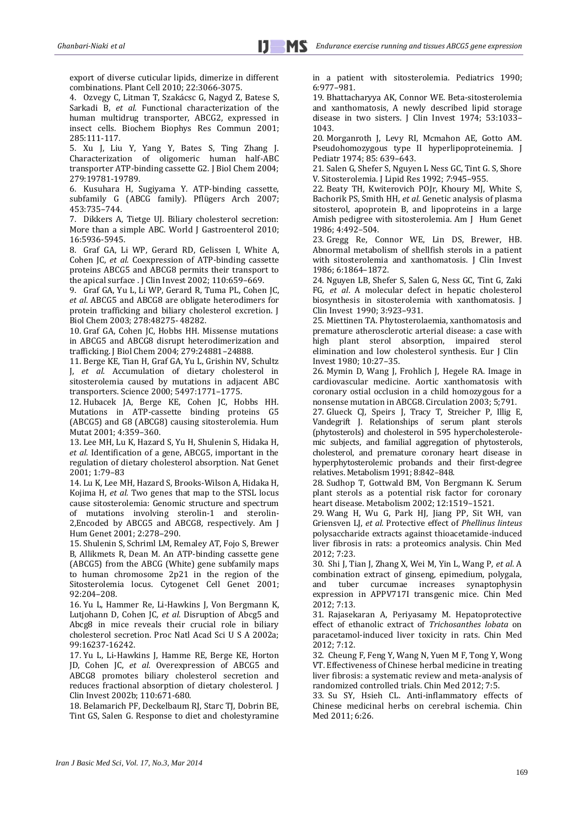export of diverse cuticular lipids, dimerize in different combinations. Plant Cell 2010; 22:3066-3075.

4. Ozvegy C, Litman T, Szakácsc G, Nagyd Z, Batese S, [Sarkadi B,](http://www.ncbi.nlm.nih.gov/pubmed?term=%22Sarkadi%20B%22%5BAuthor%5D) *et al.* Functional characterization of the human multidrug transporter, ABCG2, expressed in insect cells. Biochem Biophys Res Commun 2001; 285:111-117.

5. Xu J, Liu Y, Yang Y, Bates S, Ting Zhang J. Characterization of oligomeric human half-ABC transporter ATP-binding cassette G2. J Biol Chem 2004; 279:19781-19789.

6. Kusuhara H, Sugiyama Y. ATP-binding cassette, subfamily G (ABCG family). Pflügers Arch 2007; 453:735–744.

7. Dikkers A, Tietge UJ. Biliary cholesterol secretion: More than a simple ABC. World J Gastroenterol 2010; 16:5936-5945.

8. Graf GA, Li WP, Gerard RD, [Gelissen I,](http://www.ncbi.nlm.nih.gov/pubmed?term=%22Gelissen%20I%22%5BAuthor%5D) [White A,](http://www.ncbi.nlm.nih.gov/pubmed?term=%22White%20A%22%5BAuthor%5D)  [Cohen JC,](http://www.ncbi.nlm.nih.gov/pubmed?term=%22Cohen%20JC%22%5BAuthor%5D) *et al.* Coexpression of ATP-binding cassette proteins ABCG5 and ABCG8 permits their transport to the apical surface . J Clin Invest 2002; 110:659–669.

9. Graf GA, Yu L, Li WP, Gerard R, Tuma PL, [Cohen JC,](http://www.ncbi.nlm.nih.gov/pubmed?term=%22Cohen%20JC%22%5BAuthor%5D)  *et al*. ABCG5 and ABCG8 are obligate heterodimers for protein trafficking and biliary cholesterol excretion. J Biol Chem 2003; 278:48275- 48282.

10. Graf GA, Cohen JC, Hobbs HH. Missense mutations in ABCG5 and ABCG8 disrupt heterodimerization and trafficking. J Biol Chem 2004; 279:24881–24888.

11. Berge KE, Tian H, Graf GA, Yu L, Grishin NV, [Schultz](http://www.ncbi.nlm.nih.gov/pubmed?term=%22Schultz%20J%22%5BAuthor%5D)  [J,](http://www.ncbi.nlm.nih.gov/pubmed?term=%22Schultz%20J%22%5BAuthor%5D) *et al.* Accumulation of dietary cholesterol in sitosterolemia caused by mutations in adjacent ABC transporters. Science 2000; 5497:1771–1775.

12. Hubacek JA, Berge KE, Cohen JC, Hobbs HH. Mutations in ATP-cassette binding proteins G5 (ABCG5) and G8 (ABCG8) causing sitosterolemia. Hum Mutat 2001; 4:359–360.

13. Lee MH, Lu K, Hazard S, Yu H, Shulenin S, [Hidaka H,](http://www.ncbi.nlm.nih.gov/pubmed?term=%22Hidaka%20H%22%5BAuthor%5D)  *et al*. Identification of a gene, ABCG5, important in the regulation of dietary cholesterol absorption. Nat Genet 2001; 1:79–83

14. Lu K, Lee MH, Hazard S, Brooks-Wilson A, Hidaka H, [Kojima H,](http://www.ncbi.nlm.nih.gov/pubmed?term=%22Kojima%20H%22%5BAuthor%5D) *et al.* Two genes that map to the STSL locus cause sitosterolemia: Genomic structure and spectrum of mutations involving sterolin-1 and sterolin-2,Encoded by ABCG5 and ABCG8, respectively. Am J Hum Genet 2001; 2:278–290.

15. Shulenin S, Schriml LM, Remaley AT, Fojo S, Brewer B, Allikmets R, Dean M. An ATP-binding cassette gene (ABCG5) from the ABCG (White) gene subfamily maps to human chromosome 2p21 in the region of the Sitosterolemia locus. Cytogenet Cell Genet 2001; 92:204–208.

16. Yu L, Hammer Re, Li-Hawkins J, Von Bergmann K, Lutjohann D, [Cohen JC](http://www.ncbi.nlm.nih.gov/pubmed?term=%22Cohen%20JC%22%5BAuthor%5D)*, et al.* Disruption of Abcg5 and Abcg8 in mice reveals their crucial role in biliary cholesterol secretion. Proc Natl Acad Sci U S A 2002a; 99:16237-16242.

17. Yu L, Li-Hawkins J, Hamme RE, Berge KE, Horton JD, [Cohen JC,](http://www.ncbi.nlm.nih.gov/pubmed?term=%22Cohen%20JC%22%5BAuthor%5D) *et al.* Overexpression of ABCG5 and ABCG8 promotes biliary cholesterol secretion and reduces fractional absorption of dietary cholesterol. J Clin Invest 2002b; 110:671-680.

18. Belamarich PF, Deckelbaum RJ, Starc TJ, Dobrin BE, Tint GS, Salen G. Response to diet and cholestyramine in a patient with sitosterolemia. Pediatrics 1990; 6:977–981.

19. Bhattacharyya AK, Connor WE. Beta-sitosterolemia and xanthomatosis, A newly described lipid storage disease in two sisters. J Clin Invest 1974; 53:1033– 1043.

20. Morganroth J, Levy RI, Mcmahon AE, Gotto AM. Pseudohomozygous type II hyperlipoproteinemia. J Pediatr 1974; 85: 639–643.

21. Salen G, Shefer S, Nguyen L Ness GC, Tint G. S, Shore V. Sitosterolemia. J Lipid Res 1992; *7*:945–955.

22. Beaty TH, Kwiterovich POJr, Khoury MJ, White S, Bachorik PS[, Smith HH,](http://www.ncbi.nlm.nih.gov/pubmed?term=%22Smith%20HH%22%5BAuthor%5D) *et al.* Genetic analysis of plasma sitosterol, apoprotein B, and lipoproteins in a large Amish pedigree with sitosterolemia. Am J Hum Genet 1986; 4:492–504.

23. Gregg Re, Connor WE, Lin DS, Brewer, HB. Abnormal metabolism of shellfish sterols in a patient with sitosterolemia and xanthomatosis. J Clin Invest 1986; 6:1864–1872.

24. Nguyen LB, Shefer S, Salen G, Ness GC, Tint G, [Zaki](http://www.ncbi.nlm.nih.gov/pubmed?term=%22Zaki%20FG%22%5BAuthor%5D)  [FG](http://www.ncbi.nlm.nih.gov/pubmed?term=%22Zaki%20FG%22%5BAuthor%5D)*, et al*. A molecular defect in hepatic cholesterol biosynthesis in sitosterolemia with xanthomatosis. I Clin Invest1990; 3:923–931.

25. Miettinen TA. Phytosterolaemia, xanthomatosis and premature atherosclerotic arterial disease: a case with high plant sterol absorption, impaired sterol elimination and low cholesterol synthesis. Eur J Clin Invest 1980; 10:27–35.

26. Mymin D, Wang J, Frohlich J, Hegele RA. Image in cardiovascular medicine. Aortic xanthomatosis with coronary ostial occlusion in a child homozygous for a nonsense mutation in ABCG8. Circulation 2003; 5;791.

27. Glueck CJ, Speirs J, Tracy T, Streicher P, Illig E, Vandegrift J. Relationships of serum plant sterols (phytosterols) and cholesterol in 595 hypercholesterolemic subjects, and familial aggregation of phytosterols, cholesterol, and premature coronary heart disease in hyperphytosterolemic probands and their first-degree relatives. Metabolism 1991; 8:842–848.

28. Sudhop T, Gottwald BM, Von Bergmann K. Serum plant sterols as a potential risk factor for coronary heart disease. Metabolism 2002; 12:1519–1521.

29. Wang H, Wu G, Park HJ, Jiang PP, Sit WH, van Griensven LJ, *et al.* Protective effect of *Phellinus linteus* polysaccharide extracts against thioacetamide-induced liver fibrosis in rats: a proteomics analysis. Chin Med 2012; 7:23.

30. Shi J, Tian J, Zhang X, Wei M, Yin L, Wang P, *et al*. A combination extract of ginseng, epimedium, polygala, and tuber curcumae increases synaptophysin expression in APPV717I transgenic mice. Chin Med 2012; 7:13.

31. Rajasekaran A, Periyasamy M. Hepatoprotective effect of ethanolic extract of *Trichosanthes lobata* on paracetamol-induced liver toxicity in rats. Chin Med 2012; 7:12.

32. Cheung F, Feng Y, Wang N, Yuen M F, Tong Y, Wong VT. Effectiveness of Chinese herbal medicine in treating liver fibrosis: a systematic review and meta-analysis of randomized controlled trials. Chin Med 2012; 7:5.

33. Su SY, Hsieh CL. Anti-inflammatory effects of Chinese medicinal herbs on cerebral ischemia. Chin Med 2011; 6:26.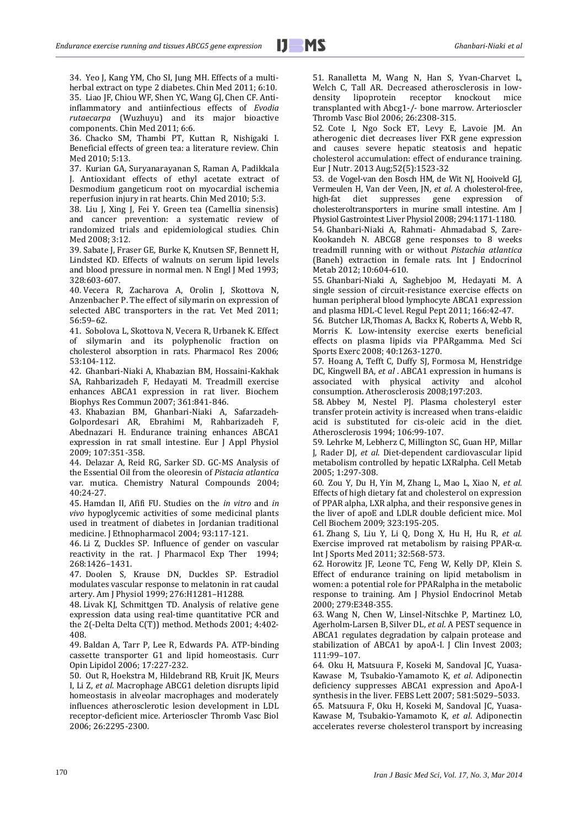34. Yeo J, Kang YM, Cho SI, Jung MH. Effects of a multiherbal extract on type 2 diabetes. Chin Med 2011; 6:10. 35. Liao JF, Chiou WF, Shen YC, Wang GJ, Chen CF. Antiinflammatory and antiinfectious effects of *Evodia rutaecarpa* (Wuzhuyu) and its major bioactive components. Chin Med 2011; 6:6.

36. Chacko SM, Thambi PT, Kuttan R, Nishigaki I. Beneficial effects of green tea: a literature review. Chin Med 2010; 5:13.

37. Kurian GA, Suryanarayanan S, Raman A, Padikkala J. Antioxidant effects of ethyl acetate extract of Desmodium gangeticum root on myocardial ischemia reperfusion injury in rat hearts. Chin Med 2010; 5:3.

38. Liu J, Xing J, Fei Y. Green tea (Camellia sinensis) and cancer prevention: a systematic review of randomized trials and epidemiological studies. Chin Med 2008; 3:12.

39. Sabate J, Fraser GE, Burke K, Knutsen SF, Bennett H, Lindsted KD. Effects of walnuts on serum lipid levels and blood pressure in normal men. N Engl J Med 1993; 328:603-607.

40. Vecera R, Zacharova A, Orolin J, Skottova N, Anzenbacher P. The effect of silymarin on expression of selected ABC transporters in the rat. Vet Med 2011; 56:59–62.

41. Sobolova L, Skottova N, Vecera R, Urbanek K. Effect of silymarin and its polyphenolic fraction on cholesterol absorption in rats. Pharmacol Res 2006; 53:104-112.

42. Ghanbari-Niaki A, Khabazian BM, Hossaini-Kakhak SA, Rahbarizadeh F, Hedayati M. Treadmill exercise enhances ABCA1 expression in rat liver. Biochem Biophys Res Commun 2007; 361:841-846.

43. Khabazian BM, Ghanbari-Niaki A, Safarzadeh-Golpordesari AR, Ebrahimi M, Rahbarizadeh F, Abednazari H. Endurance training enhances ABCA1 expression in rat small intestine. Eur J Appl Physiol 2009; 107:351-358.

44. Delazar A, Reid RG, Sarker SD. GC-MS Analysis of the Essential Oil from the oleoresin of *Pistacia atlantica* var. mutica. Chemistry Natural Compounds 2004;  $40.24 - 27$ 

45. Hamdan II, Afifi FU. Studies on the *in vitro* and *in vivo* hypoglycemic activities of some medicinal plants used in treatment of diabetes in Jordanian traditional medicine. J Ethnopharmacol 2004; 93:117-121.

46. Li Z, Duckles SP. Influence of gender on vascular reactivity in the rat. J Pharmacol Exp Ther 1994; 268:1426–1431.

47. Doolen S, Krause DN, Duckles SP. Estradiol modulates vascular response to melatonin in rat caudal artery. Am J Physiol 1999; 276:H1281–H1288.

48. Livak KJ, Schmittgen TD. Analysis of relative gene expression data using real-time quantitative PCR and the 2(-Delta Delta C(T)) method. Methods 2001; 4:402- 408.

49. [Baldan A,](http://www.ncbi.nlm.nih.gov/pubmed?term=Bald%C3%A1n%20A%5BAuthor%5D&cauthor=true&cauthor_uid=16680026) [Tarr P,](http://www.ncbi.nlm.nih.gov/pubmed?term=Tarr%20P%5BAuthor%5D&cauthor=true&cauthor_uid=16680026) [Lee R,](http://www.ncbi.nlm.nih.gov/pubmed?term=Lee%20R%5BAuthor%5D&cauthor=true&cauthor_uid=16680026) [Edwards PA.](http://www.ncbi.nlm.nih.gov/pubmed?term=Edwards%20PA%5BAuthor%5D&cauthor=true&cauthor_uid=16680026) ATP-binding cassette transporter G1 and lipid homeostasis. [Curr](http://www.google.com/url?sa=t&rct=j&q=curr+opin+lipidol+journal&source=web&cd=1&ved=0CE8QFjAA&url=http%3A%2F%2Fjournals.lww.com%2Fco-lipidology%2F&ei=6fjyT-yfCcrB8QOYyO3LCQ&usg=AFQjCNEUWB4c9uaDGnF5L1FWp6v1EKfn2A)  [Opin Lipidol](http://www.google.com/url?sa=t&rct=j&q=curr+opin+lipidol+journal&source=web&cd=1&ved=0CE8QFjAA&url=http%3A%2F%2Fjournals.lww.com%2Fco-lipidology%2F&ei=6fjyT-yfCcrB8QOYyO3LCQ&usg=AFQjCNEUWB4c9uaDGnF5L1FWp6v1EKfn2A) 2006; 17:227-232.

50. Out R, Hoekstra M, Hildebrand RB, Kruit JK, Meurs I, Li Z, *et al*. Macrophage ABCG1 deletion disrupts lipid homeostasis in alveolar macrophages and moderately influences atherosclerotic lesion development in LDL receptor-deficient mice. Arterioscler Thromb Vasc Biol 2006; 26:2295-2300.

51. Ranalletta M, Wang N, Han S, Yvan-Charvet L, Welch C, Tall AR. Decreased atherosclerosis in lowdensity lipoprotein receptor knockout mice transplanted with Abcg1-/- bone marrow. Arterioscler Thromb Vasc Biol 2006; 26:2308-315.

52. Cote I, Ngo Sock ET, Levy E, Lavoie JM. An atherogenic diet decreases liver FXR gene expression and causes severe hepatic steatosis and hepatic cholesterol accumulation: effect of endurance training. [Eur J Nutr.](http://www.ncbi.nlm.nih.gov/pubmed/?term=atherogenic+diet+decreases+liver+FXR+gene+expression+and+causes+severe+hepatic+steatosis+and+hepatic) 2013 Aug;52(5):1523-32

53. de Vogel-van den Bosch HM, de Wit NJ, Hooiveld GJ, Vermeulen H, Van der Veen, JN, *et al*. A cholesterol-free, high-fat diet suppresses gene expression of cholesteroltransporters in murine small intestine. [Am J](http://www.ncbi.nlm.nih.gov/pubmed?term=.%2C%20M%C3%BCller%2C%20M%20and%20van%20der%20Meer%2C%20R.%20%282008%29%20A%20cholesterol-free%2C%20high-fat%20diet%20suppresses%20gene%20expression%20of%20cholesteroltransporters%20in%20murine%20small%20intestine.%20AJP-Gastrointestinal%20and%20Liver%20Physiology.%20294%2C%201171-1180.) [Physiol Gastrointest Liver Physiol](http://www.ncbi.nlm.nih.gov/pubmed?term=.%2C%20M%C3%BCller%2C%20M%20and%20van%20der%20Meer%2C%20R.%20%282008%29%20A%20cholesterol-free%2C%20high-fat%20diet%20suppresses%20gene%20expression%20of%20cholesteroltransporters%20in%20murine%20small%20intestine.%20AJP-Gastrointestinal%20and%20Liver%20Physiology.%20294%2C%201171-1180.) 2008; 294:1171-1180.

54. Ghanbari-Niaki A, Rahmati- Ahmadabad S, Zare-Kookandeh N. ABCG8 gene responses to 8 weeks treadmill running with or without *Pistachia atlantica* (Baneh) extraction in female rats. Int J Endocrinol Metab 2012; 10:604-610.

55. [Ghanbari-Niaki A,](http://www.ncbi.nlm.nih.gov/pubmed?term=Ghanbari-Niaki%20A%5BAuthor%5D&cauthor=true&cauthor_uid=22529894) [Saghebjoo M,](http://www.ncbi.nlm.nih.gov/pubmed?term=Saghebjoo%20M%5BAuthor%5D&cauthor=true&cauthor_uid=22529894) [Hedayati M.](http://www.ncbi.nlm.nih.gov/pubmed?term=Hedayati%20M%5BAuthor%5D&cauthor=true&cauthor_uid=22529894) [A](http://www.ncbi.nlm.nih.gov/pubmed/20727372.1)  [single session of circuit-resistance exercise effects on](http://www.ncbi.nlm.nih.gov/pubmed/20727372.1)  [human peripheral blood lymphocyte ABCA1 expression](http://www.ncbi.nlm.nih.gov/pubmed/20727372.1)  [and plasma HDL-C level.](http://www.ncbi.nlm.nih.gov/pubmed/20727372.1) Regul Pept 2011; 166:42-47.

56. Butcher LR,Thomas A, Backx K, Roberts A, Webb R, Morris K. Low-intensity exercise exerts beneficial effects on plasma lipids via PPARgamma. Med Sci Sports Exerc 2008; 40:1263-1270.

57. [Hoang A,](http://www.ncbi.nlm.nih.gov/pubmed?term=Hoang%20A%5BAuthor%5D&cauthor=true&cauthor_uid=22529894) [Tefft C,](http://www.ncbi.nlm.nih.gov/pubmed?term=Tefft%20C%5BAuthor%5D&cauthor=true&cauthor_uid=22529894) [Duffy SJ,](http://www.ncbi.nlm.nih.gov/pubmed?term=Duffy%20SJ%5BAuthor%5D&cauthor=true&cauthor_uid=22529894) [Formosa M,](http://www.ncbi.nlm.nih.gov/pubmed?term=Formosa%20M%5BAuthor%5D&cauthor=true&cauthor_uid=22529894) [Henstridge](http://www.ncbi.nlm.nih.gov/pubmed?term=Henstridge%20DC%5BAuthor%5D&cauthor=true&cauthor_uid=22529894)  [DC,](http://www.ncbi.nlm.nih.gov/pubmed?term=Henstridge%20DC%5BAuthor%5D&cauthor=true&cauthor_uid=22529894) [Kingwell BA,](http://www.ncbi.nlm.nih.gov/pubmed?term=Kingwell%20BA%5BAuthor%5D&cauthor=true&cauthor_uid=22529894) *et al* [. ABCA1 expression in humans is](http://www.ncbi.nlm.nih.gov/pubmed/17481640.1)  [associated with physical activity and alcohol](http://www.ncbi.nlm.nih.gov/pubmed/17481640.1)  [consumption.](http://www.ncbi.nlm.nih.gov/pubmed/17481640.1) [Atherosclerosis](http://www.ncbi.nlm.nih.gov/pubmed) 2008;197:203.

58. Abbey M, Nestel PJ. Plasma cholesteryl ester transfer protein activity is increased when trans-elaidic acid is substituted for cis-oleic acid in the diet. Atherosclerosis 1994; 106:99-107.

59. Lehrke M, Lebherz C, Millington SC, Guan HP, Millar J, Rader DJ, *et al*. Diet-dependent cardiovascular lipid metabolism controlled by hepatic LXRalpha. Cell Metab 2005; 1:297-308.

60. Zou Y, Du H, Yin M, Zhang L, Mao L, Xiao N, *et al.* Effects of high dietary fat and cholesterol on expression of PPAR alpha, LXR alpha, and their responsive genes in the liver of apoE and LDLR double deficient mice. Mol Cell Biochem 2009; 323:195-205.

61. [Zhang S,](http://www.ncbi.nlm.nih.gov/pubmed?term=Zhang%20S%5BAuthor%5D&cauthor=true&cauthor_uid=22529894) [Liu Y,](http://www.ncbi.nlm.nih.gov/pubmed?term=Liu%20Y%5BAuthor%5D&cauthor=true&cauthor_uid=22529894) [Li Q,](http://www.ncbi.nlm.nih.gov/pubmed?term=Li%20Q%5BAuthor%5D&cauthor=true&cauthor_uid=22529894) [Dong X,](http://www.ncbi.nlm.nih.gov/pubmed?term=Dong%20X%5BAuthor%5D&cauthor=true&cauthor_uid=22529894) [Hu H,](http://www.ncbi.nlm.nih.gov/pubmed?term=Hu%20H%5BAuthor%5D&cauthor=true&cauthor_uid=22529894) [Hu R,](http://www.ncbi.nlm.nih.gov/pubmed?term=Hu%20R%5BAuthor%5D&cauthor=true&cauthor_uid=22529894) *et al.* [Exercise improved rat metabolism by raising PPAR-](http://www.ncbi.nlm.nih.gov/pubmed/21618160.1)α. Int J Sports Med 2011; 32:568-573.

62. Horowitz JF, Leone TC, Feng W, Kelly DP, Klein S. Effect of endurance training on lipid metabolism in women: a potential role for PPARalpha in the metabolic response to training. Am J Physiol Endocrinol Metab 2000; 279:E348-355.

63. Wang N, Chen W, Linsel-Nitschke P, [Martinez LO,](http://www.ncbi.nlm.nih.gov/pubmed?term=Martinez%20LO%5BAuthor%5D&cauthor=true&cauthor_uid=12511593)  [Agerholm-Larsen B,](http://www.ncbi.nlm.nih.gov/pubmed?term=Agerholm-Larsen%20B%5BAuthor%5D&cauthor=true&cauthor_uid=12511593) [Silver DL,](http://www.ncbi.nlm.nih.gov/pubmed?term=Silver%20DL%5BAuthor%5D&cauthor=true&cauthor_uid=12511593) *et al*. A PEST sequence in ABCA1 regulates degradation by calpain protease and stabilization of ABCA1 by apoA-I. J Clin Invest 2003; 111:99–107.

64. Oku H, Matsuura F, Koseki M, Sandoval JC, Yuasa-Kawase M, Tsubakio-Yamamoto K, *et al*. Adiponectin deficiency suppresses ABCA1 expression and ApoA-I synthesis in the liver. FEBS Lett 2007; 581:5029–5033. 65. Matsuura F, Oku H, Koseki M, Sandoval JC, Yuasa-Kawase M, [Tsubakio-Yamamoto K,](http://www.ncbi.nlm.nih.gov/pubmed?term=Tsubakio-Yamamoto%20K%5BAuthor%5D&cauthor=true&cauthor_uid=17521614) *et al*. Adiponectin accelerates reverse cholesterol transport by increasing